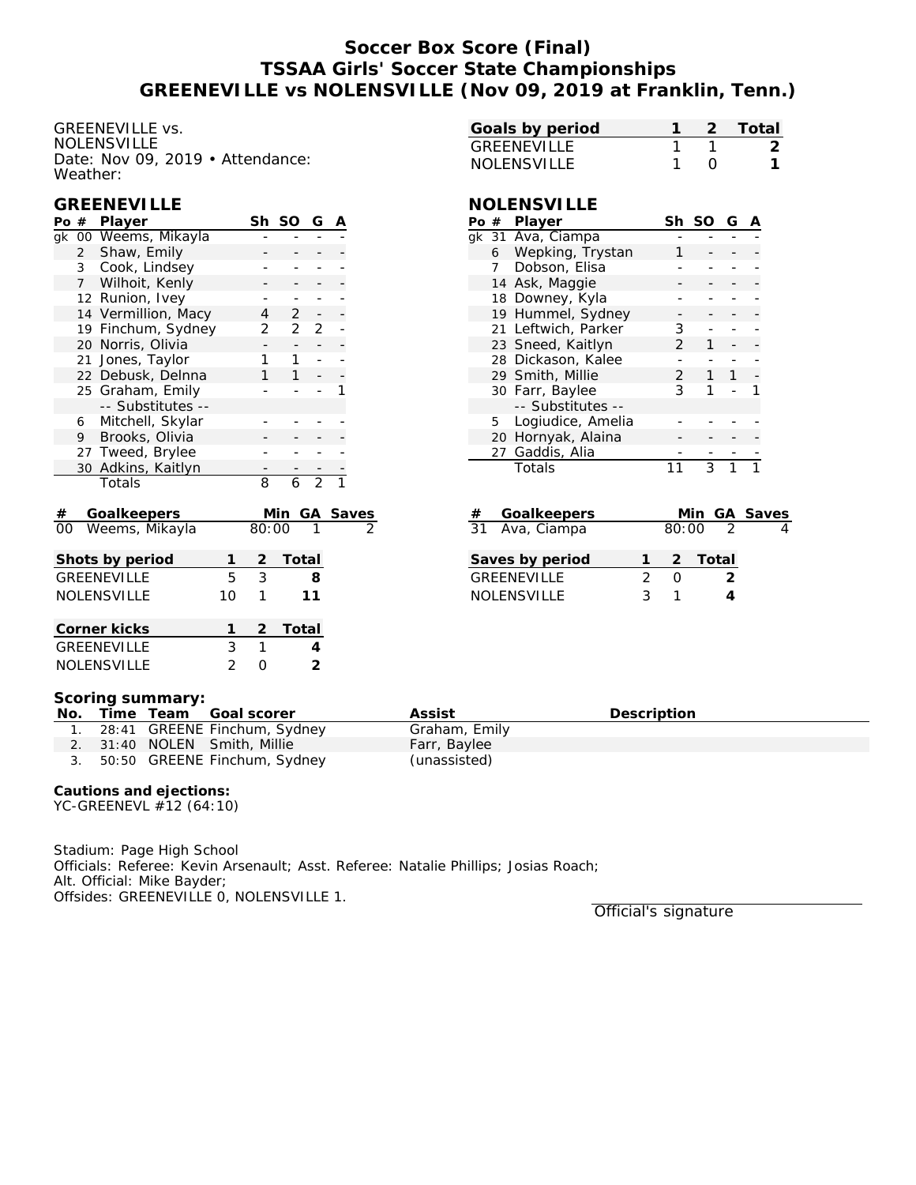## **Soccer Box Score (Final) TSSAA Girls' Soccer State Championships GREENEVILLE vs NOLENSVILLE (Nov 09, 2019 at Franklin, Tenn.)**

GREENEVILLE vs. NOLENSVILLE Date: Nov 09, 2019 • Attendance: Weather:

### **GREENEVILLE**

| Po $#$                  |                | Player              |                | Sh                       | SO                           | G              | Α |       |
|-------------------------|----------------|---------------------|----------------|--------------------------|------------------------------|----------------|---|-------|
| 00 Weems, Mikayla<br>gk |                |                     |                |                          |                              |                |   |       |
|                         | $\overline{2}$ | Shaw, Emily         |                |                          |                              |                |   |       |
|                         | 3              | Cook, Lindsey       |                |                          |                              |                |   |       |
|                         | $7^{\circ}$    | Wilhoit, Kenly      |                |                          |                              |                |   |       |
|                         |                | 12 Runion, Ivey     |                |                          |                              |                |   |       |
|                         |                | 14 Vermillion, Macy |                | 4                        | $\overline{2}$               | -              |   |       |
|                         |                | 19 Finchum, Sydney  |                | 2                        | $\overline{2}$               | 2              |   |       |
|                         | 20             | Norris, Olivia      |                | $\overline{\phantom{0}}$ | $\qquad \qquad \blacksquare$ | -              |   |       |
|                         | 21             | Jones, Taylor       |                | 1                        | 1                            |                |   |       |
|                         |                | 22 Debusk, Delnna   |                | 1                        | 1                            |                |   |       |
|                         |                | 25 Graham, Emily    |                |                          |                              |                | 1 |       |
|                         |                | -- Substitutes --   |                |                          |                              |                |   |       |
|                         | 6              | Mitchell, Skylar    |                |                          |                              |                |   |       |
|                         | 9              | Brooks, Olivia      |                |                          |                              |                |   |       |
|                         |                | 27 Tweed, Brylee    |                |                          |                              |                |   |       |
|                         | 30             | Adkins, Kaitlyn     |                |                          |                              |                |   |       |
|                         |                | Totals              |                | 8                        | 6                            | $\overline{2}$ |   |       |
| #                       |                | Goalkeepers         |                |                          | Min                          | GА             |   | Saves |
| 00                      |                | Weems, Mikayla      |                | 80:00                    |                              |                |   |       |
|                         |                | Shots by period     | 1              | 2                        | Total                        |                |   |       |
|                         |                | <b>GREENEVILLE</b>  | 5              | 3                        |                              | 8              |   |       |
|                         |                | <b>NOLENSVILLE</b>  | 10             | 1                        |                              | 11             |   |       |
|                         |                |                     |                |                          |                              |                |   |       |
|                         |                | Corner kicks        | 1              | $\overline{2}$           | Total                        |                |   |       |
|                         |                | <b>GREENEVILLE</b>  | 3              | 1                        |                              | 4              |   |       |
|                         |                | <b>NOLENSVILLE</b>  | $\overline{2}$ | 0                        |                              | $\overline{2}$ |   |       |

| Goals by period    |  | -2 Total |
|--------------------|--|----------|
| GREENEVILLE        |  |          |
| <b>NOLENSVILLE</b> |  |          |

### **NOLENSVILLE**

| Po # | Player              | Sh | SO | G |  |
|------|---------------------|----|----|---|--|
|      | gk 31 Ava, Ciampa   |    |    |   |  |
| 6    | Wepking, Trystan    |    |    |   |  |
| 7    | Dobson, Elisa       |    |    |   |  |
| 14   | Ask, Maggie         |    |    |   |  |
|      | 18 Downey, Kyla     |    |    |   |  |
|      | 19 Hummel, Sydney   |    |    |   |  |
|      | 21 Leftwich, Parker | 3  |    |   |  |
|      | 23 Sneed, Kaitlyn   | 2  |    |   |  |
|      | 28 Dickason, Kalee  |    |    |   |  |
|      | 29 Smith, Millie    | 2  | 1  | 1 |  |
|      | 30 Farr, Baylee     | 3  |    |   |  |
|      | -- Substitutes --   |    |    |   |  |
| 5    | Logiudice, Amelia   |    |    |   |  |
|      | 20 Hornyak, Alaina  |    |    |   |  |
|      | 27 Gaddis, Alia     |    |    |   |  |
|      | Totals              |    | ς  |   |  |

| Goalkeepers<br>#   |                                                                                                                                                                       |                  |                | Min GA Saves |
|--------------------|-----------------------------------------------------------------------------------------------------------------------------------------------------------------------|------------------|----------------|--------------|
| 31 Ava, Ciampa     |                                                                                                                                                                       | 80:00            | $\overline{2}$ |              |
| Saves by period    |                                                                                                                                                                       |                  | 2 Total        |              |
| <b>GREENEVILLE</b> | $\mathcal{D}_{\mathcal{A}}^{\mathcal{A}}(\mathcal{A})=\mathcal{D}_{\mathcal{A}}^{\mathcal{A}}(\mathcal{A})\oplus\mathcal{D}_{\mathcal{A}}^{\mathcal{A}}(\mathcal{A})$ | $\left( \right)$ | $\mathcal{L}$  |              |
| <b>NOLENSVILLE</b> | 2                                                                                                                                                                     |                  |                |              |

#### **Scoring summary:**

|  | No. Time Team Goal scorer       | Assist        | <b>Description</b> |
|--|---------------------------------|---------------|--------------------|
|  | 1. 28:41 GREENE Finchum, Sydney | Graham, Emily |                    |
|  | 2. 31:40 NOLEN Smith, Millie    | Farr, Baylee  |                    |
|  | 3. 50:50 GREENE Finchum, Sydney | (unassisted)  |                    |

**Cautions and ejections:** YC-GREENEVL #12 (64:10)

Stadium: Page High School Officials: Referee: Kevin Arsenault; Asst. Referee: Natalie Phillips; Josias Roach; Alt. Official: Mike Bayder; Offsides: GREENEVILLE 0, NOLENSVILLE 1.

Official's signature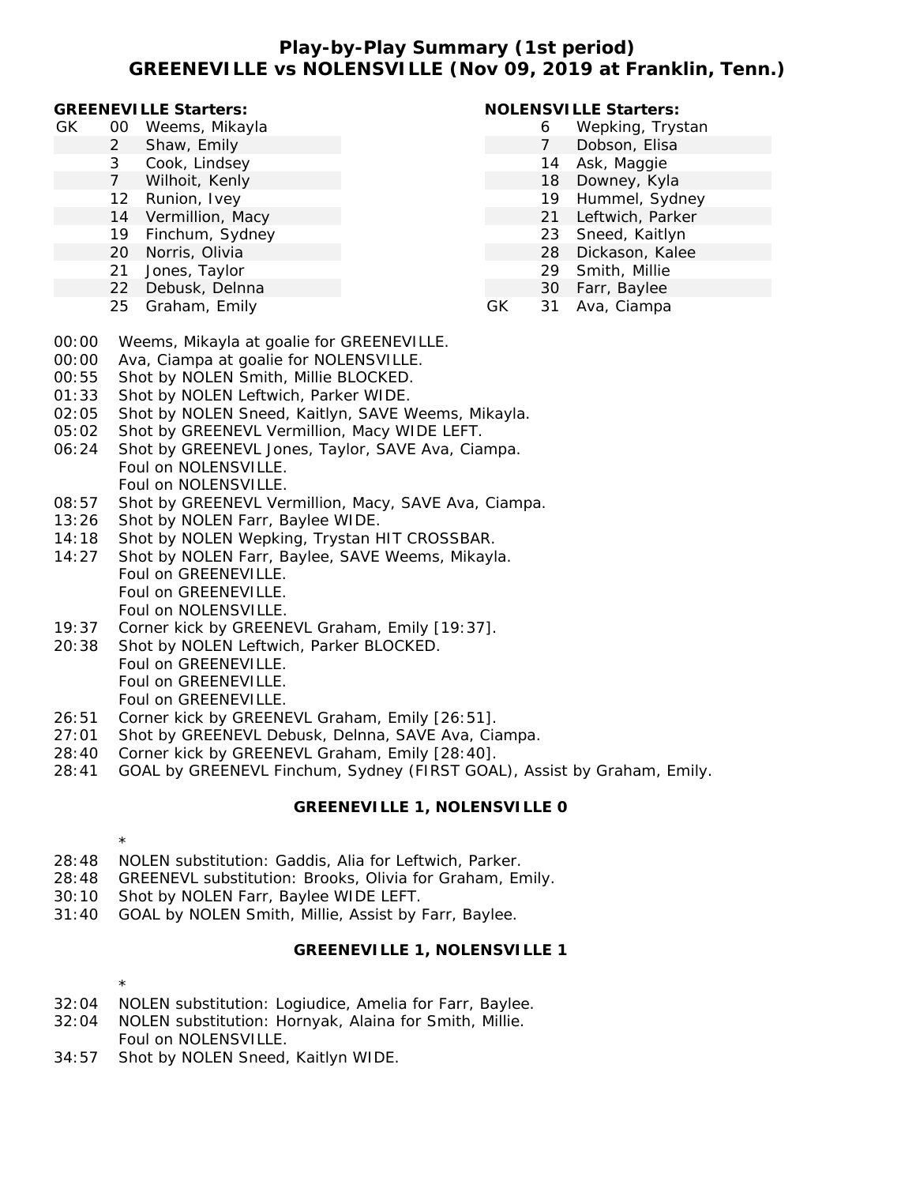### **Play-by-Play Summary (1st period) GREENEVILLE vs NOLENSVILLE (Nov 09, 2019 at Franklin, Tenn.)**

#### **GREENEVILLE Starters:**

- GK 00 Weems, Mikayla
	- 2 Shaw, Emily
		- 3 Cook, Lindsey
		- 7 Wilhoit, Kenly
		- 12 Runion, Ivey
		- 14 Vermillion, Macy
		- 19 Finchum, Sydney
		- 20 Norris, Olivia
		- 21 Jones, Taylor
		- 22 Debusk, Delnna
		- 25 Graham, Emily

### **NOLENSVILLE Starters:**

- 6 Wepking, Trystan
- 7 Dobson, Elisa
- 14 Ask, Maggie
- 18 Downey, Kyla
- 19 Hummel, Sydney
- 21 Leftwich, Parker
- 23 Sneed, Kaitlyn
- 28 Dickason, Kalee
- 29 Smith, Millie
- 30 Farr, Baylee
- GK 31 Ava, Ciampa
- 00:00 Weems, Mikayla at goalie for GREENEVILLE.
- 00:00 Ava, Ciampa at goalie for NOLENSVILLE.
- 00:55 Shot by NOLEN Smith, Millie BLOCKED.
- 01:33 Shot by NOLEN Leftwich, Parker WIDE.
- 02:05 Shot by NOLEN Sneed, Kaitlyn, SAVE Weems, Mikayla.
- 05:02 Shot by GREENEVL Vermillion, Macy WIDE LEFT.
- 06:24 Shot by GREENEVL Jones, Taylor, SAVE Ava, Ciampa. Foul on NOLENSVILLE. Foul on NOLENSVILLE.
- 08:57 Shot by GREENEVL Vermillion, Macy, SAVE Ava, Ciampa.
- 13:26 Shot by NOLEN Farr, Baylee WIDE.
- 14:18 Shot by NOLEN Wepking, Trystan HIT CROSSBAR.
- 14:27 Shot by NOLEN Farr, Baylee, SAVE Weems, Mikayla. Foul on GREENEVILLE. Foul on GREENEVILLE. Foul on NOLENSVILLE.
- 19:37 Corner kick by GREENEVL Graham, Emily [19:37].
- 20:38 Shot by NOLEN Leftwich, Parker BLOCKED. Foul on GREENEVILLE. Foul on GREENEVILLE. Foul on GREENEVILLE.
- 26:51 Corner kick by GREENEVL Graham, Emily [26:51].
- 27:01 Shot by GREENEVL Debusk, Delnna, SAVE Ava, Ciampa.
- 28:40 Corner kick by GREENEVL Graham, Emily [28:40].
- 28:41 GOAL by GREENEVL Finchum, Sydney (FIRST GOAL), Assist by Graham, Emily.

### **GREENEVILLE 1, NOLENSVILLE 0**

- \*
- 28:48 NOLEN substitution: Gaddis, Alia for Leftwich, Parker.
- 28:48 GREENEVL substitution: Brooks, Olivia for Graham, Emily.
- 30:10 Shot by NOLEN Farr, Baylee WIDE LEFT.
- 31:40 GOAL by NOLEN Smith, Millie, Assist by Farr, Baylee.

## **GREENEVILLE 1, NOLENSVILLE 1**

- \*
- 32:04 NOLEN substitution: Logiudice, Amelia for Farr, Baylee.
- 32:04 NOLEN substitution: Hornyak, Alaina for Smith, Millie. Foul on NOLENSVILLE.
- 34:57 Shot by NOLEN Sneed, Kaitlyn WIDE.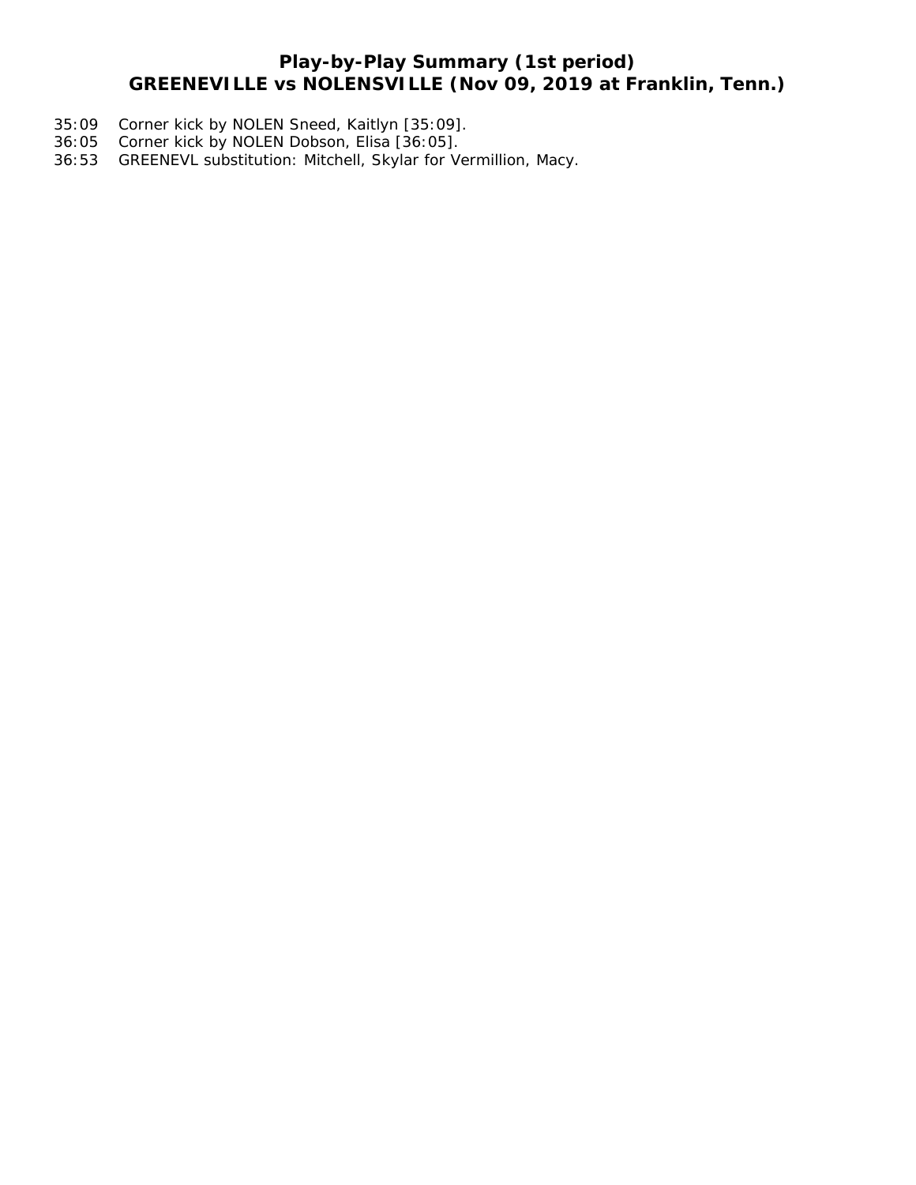# **Play-by-Play Summary (1st period) GREENEVILLE vs NOLENSVILLE (Nov 09, 2019 at Franklin, Tenn.)**

- 35:09 Corner kick by NOLEN Sneed, Kaitlyn [35:09].
- 36:05 Corner kick by NOLEN Dobson, Elisa [36:05].
- 36:53 GREENEVL substitution: Mitchell, Skylar for Vermillion, Macy.